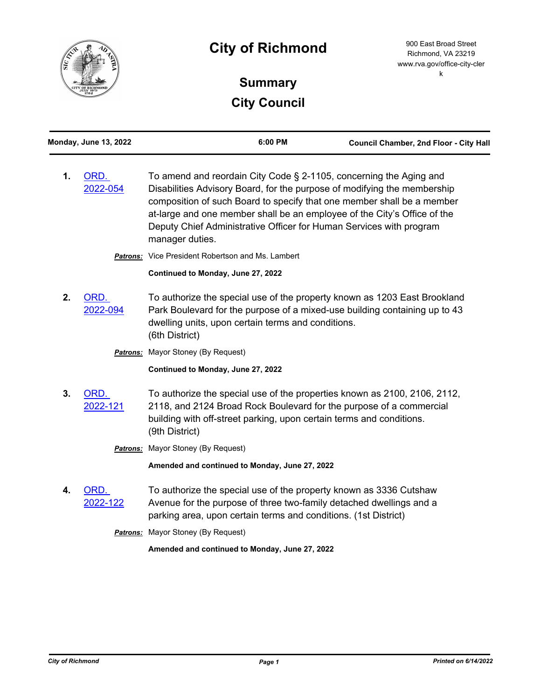

# **City of Richmond**

900 East Broad Street Richmond, VA 23219 www.rva.gov/office-city-cler k

# **Summary City Council**

| <b>Monday, June 13, 2022</b> | 6:00 PM                                                                                                                                                                                                                                                                                              | <b>Council Chamber, 2nd Floor - City Hall</b> |  |
|------------------------------|------------------------------------------------------------------------------------------------------------------------------------------------------------------------------------------------------------------------------------------------------------------------------------------------------|-----------------------------------------------|--|
| ORD.<br>2022-054             | To amend and reordain City Code § 2-1105, concerning the Aging and<br>Disabilities Advisory Board, for the purpose of modifying the membership<br>composition of such Board to specify that one member shall be a member<br>at-large and one member shall be an employee of the City's Office of the |                                               |  |

Deputy Chief Administrative Officer for Human Services with program

manager duties. *Patrons:* Vice President Robertson and Ms. Lambert

**Continued to Monday, June 27, 2022**

**2.** ORD. [2022-094](http://richmondva.legistar.com/gateway.aspx?m=l&id=/matter.aspx?key=31634) To authorize the special use of the property known as 1203 East Brookland Park Boulevard for the purpose of a mixed-use building containing up to 43 dwelling units, upon certain terms and conditions. (6th District)

**Patrons:** Mayor Stoney (By Request)

**Continued to Monday, June 27, 2022**

**3.** ORD. [2022-121](http://richmondva.legistar.com/gateway.aspx?m=l&id=/matter.aspx?key=31693) To authorize the special use of the properties known as 2100, 2106, 2112, 2118, and 2124 Broad Rock Boulevard for the purpose of a commercial building with off-street parking, upon certain terms and conditions. (9th District)

**Patrons:** Mayor Stoney (By Request)

**Amended and continued to Monday, June 27, 2022**

**4.** ORD. [2022-122](http://richmondva.legistar.com/gateway.aspx?m=l&id=/matter.aspx?key=31832) To authorize the special use of the property known as 3336 Cutshaw Avenue for the purpose of three two-family detached dwellings and a parking area, upon certain terms and conditions. (1st District)

**Patrons:** Mayor Stoney (By Request)

**Amended and continued to Monday, June 27, 2022**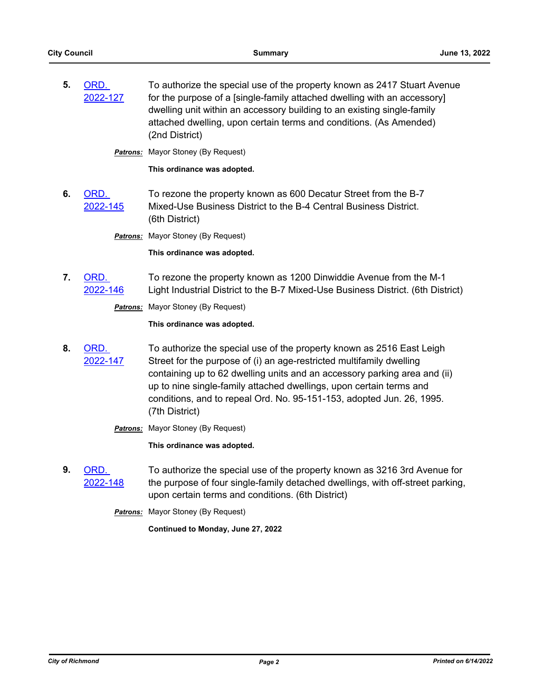**5.** ORD. [2022-127](http://richmondva.legistar.com/gateway.aspx?m=l&id=/matter.aspx?key=31810) To authorize the special use of the property known as 2417 Stuart Avenue for the purpose of a [single-family attached dwelling with an accessory] dwelling unit within an accessory building to an existing single-family attached dwelling, upon certain terms and conditions. (As Amended) (2nd District)

**Patrons:** Mayor Stoney (By Request)

**This ordinance was adopted.**

**6.** ORD. [2022-145](http://richmondva.legistar.com/gateway.aspx?m=l&id=/matter.aspx?key=31900) To rezone the property known as 600 Decatur Street from the B-7 Mixed-Use Business District to the B-4 Central Business District. (6th District)

**Patrons:** Mayor Stoney (By Request)

**This ordinance was adopted.**

**7.** ORD. [2022-146](http://richmondva.legistar.com/gateway.aspx?m=l&id=/matter.aspx?key=31961) To rezone the property known as 1200 Dinwiddie Avenue from the M-1 Light Industrial District to the B-7 Mixed-Use Business District. (6th District)

**Patrons:** Mayor Stoney (By Request)

**This ordinance was adopted.**

**8.** ORD. [2022-147](http://richmondva.legistar.com/gateway.aspx?m=l&id=/matter.aspx?key=31806) To authorize the special use of the property known as 2516 East Leigh Street for the purpose of (i) an age-restricted multifamily dwelling containing up to 62 dwelling units and an accessory parking area and (ii) up to nine single-family attached dwellings, upon certain terms and conditions, and to repeal Ord. No. 95-151-153, adopted Jun. 26, 1995. (7th District)

**Patrons:** Mayor Stoney (By Request)

**This ordinance was adopted.**

**9.** ORD. [2022-148](http://richmondva.legistar.com/gateway.aspx?m=l&id=/matter.aspx?key=31728) To authorize the special use of the property known as 3216 3rd Avenue for the purpose of four single-family detached dwellings, with off-street parking, upon certain terms and conditions. (6th District)

*Patrons:* Mayor Stoney (By Request)

**Continued to Monday, June 27, 2022**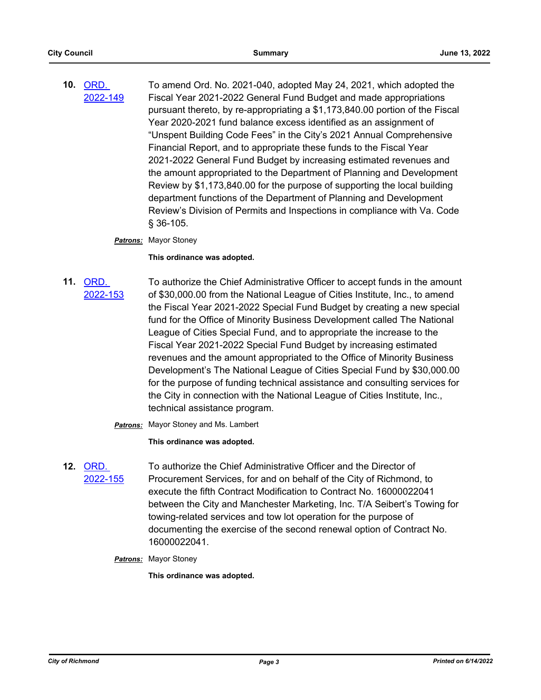**10.** ORD. [2022-149](http://richmondva.legistar.com/gateway.aspx?m=l&id=/matter.aspx?key=32181) To amend Ord. No. 2021-040, adopted May 24, 2021, which adopted the Fiscal Year 2021-2022 General Fund Budget and made appropriations pursuant thereto, by re-appropriating a \$1,173,840.00 portion of the Fiscal Year 2020-2021 fund balance excess identified as an assignment of "Unspent Building Code Fees" in the City's 2021 Annual Comprehensive Financial Report, and to appropriate these funds to the Fiscal Year 2021-2022 General Fund Budget by increasing estimated revenues and the amount appropriated to the Department of Planning and Development Review by \$1,173,840.00 for the purpose of supporting the local building department functions of the Department of Planning and Development Review's Division of Permits and Inspections in compliance with Va. Code § 36-105.

### *Patrons:* Mayor Stoney

**This ordinance was adopted.**

**11.** ORD. [2022-153](http://richmondva.legistar.com/gateway.aspx?m=l&id=/matter.aspx?key=32185) To authorize the Chief Administrative Officer to accept funds in the amount of \$30,000.00 from the National League of Cities Institute, Inc., to amend the Fiscal Year 2021-2022 Special Fund Budget by creating a new special fund for the Office of Minority Business Development called The National League of Cities Special Fund, and to appropriate the increase to the Fiscal Year 2021-2022 Special Fund Budget by increasing estimated revenues and the amount appropriated to the Office of Minority Business Development's The National League of Cities Special Fund by \$30,000.00 for the purpose of funding technical assistance and consulting services for the City in connection with the National League of Cities Institute, Inc., technical assistance program.

*Patrons:* Mayor Stoney and Ms. Lambert

**This ordinance was adopted.**

- **12.** ORD. [2022-155](http://richmondva.legistar.com/gateway.aspx?m=l&id=/matter.aspx?key=32189) To authorize the Chief Administrative Officer and the Director of Procurement Services, for and on behalf of the City of Richmond, to execute the fifth Contract Modification to Contract No. 16000022041 between the City and Manchester Marketing, Inc. T/A Seibert's Towing for towing-related services and tow lot operation for the purpose of documenting the exercise of the second renewal option of Contract No. 16000022041.
	- *Patrons:* Mayor Stoney

**This ordinance was adopted.**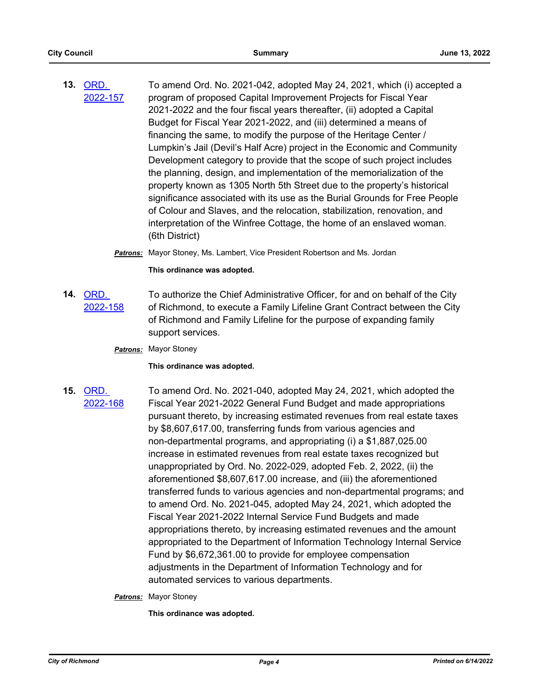- **13.** ORD. [2022-157](http://richmondva.legistar.com/gateway.aspx?m=l&id=/matter.aspx?key=32190) To amend Ord. No. 2021-042, adopted May 24, 2021, which (i) accepted a program of proposed Capital Improvement Projects for Fiscal Year 2021-2022 and the four fiscal years thereafter, (ii) adopted a Capital Budget for Fiscal Year 2021-2022, and (iii) determined a means of financing the same, to modify the purpose of the Heritage Center / Lumpkin's Jail (Devil's Half Acre) project in the Economic and Community Development category to provide that the scope of such project includes the planning, design, and implementation of the memorialization of the property known as 1305 North 5th Street due to the property's historical significance associated with its use as the Burial Grounds for Free People of Colour and Slaves, and the relocation, stabilization, renovation, and interpretation of the Winfree Cottage, the home of an enslaved woman. (6th District)
	- *Patrons:* Mayor Stoney, Ms. Lambert, Vice President Robertson and Ms. Jordan

#### **This ordinance was adopted.**

- **14.** ORD. [2022-158](http://richmondva.legistar.com/gateway.aspx?m=l&id=/matter.aspx?key=32191) To authorize the Chief Administrative Officer, for and on behalf of the City of Richmond, to execute a Family Lifeline Grant Contract between the City of Richmond and Family Lifeline for the purpose of expanding family support services.
	- *Patrons:* Mayor Stoney

#### **This ordinance was adopted.**

**15.** ORD. [2022-168](http://richmondva.legistar.com/gateway.aspx?m=l&id=/matter.aspx?key=32265) To amend Ord. No. 2021-040, adopted May 24, 2021, which adopted the Fiscal Year 2021-2022 General Fund Budget and made appropriations pursuant thereto, by increasing estimated revenues from real estate taxes by \$8,607,617.00, transferring funds from various agencies and non-departmental programs, and appropriating (i) a \$1,887,025.00 increase in estimated revenues from real estate taxes recognized but unappropriated by Ord. No. 2022-029, adopted Feb. 2, 2022, (ii) the aforementioned \$8,607,617.00 increase, and (iii) the aforementioned transferred funds to various agencies and non-departmental programs; and to amend Ord. No. 2021-045, adopted May 24, 2021, which adopted the Fiscal Year 2021-2022 Internal Service Fund Budgets and made appropriations thereto, by increasing estimated revenues and the amount appropriated to the Department of Information Technology Internal Service Fund by \$6,672,361.00 to provide for employee compensation adjustments in the Department of Information Technology and for automated services to various departments.

#### *Patrons:* Mayor Stoney

**This ordinance was adopted.**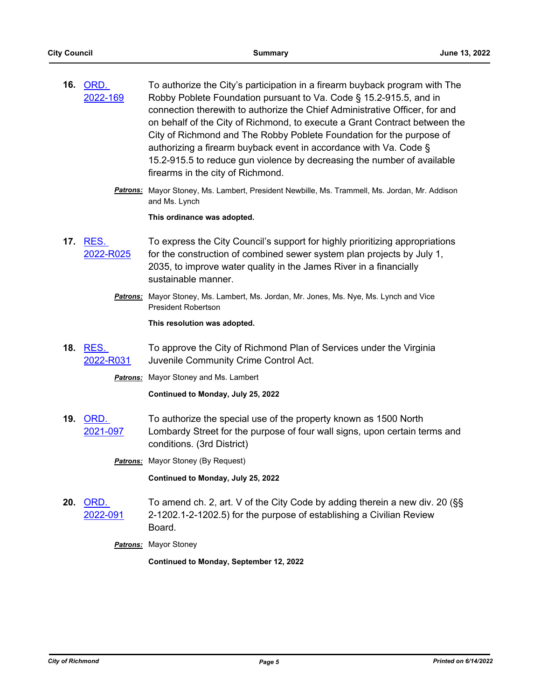| 16. | ORD.     | To authorize the City's participation in a firearm buyback program with The |
|-----|----------|-----------------------------------------------------------------------------|
|     | 2022-169 | Robby Poblete Foundation pursuant to Va. Code § 15.2-915.5, and in          |
|     |          | connection therewith to authorize the Chief Administrative Officer, for and |
|     |          | on behalf of the City of Richmond, to execute a Grant Contract between the  |
|     |          | City of Richmond and The Robby Poblete Foundation for the purpose of        |
|     |          | authorizing a firearm buyback event in accordance with Va. Code §           |
|     |          | 15.2-915.5 to reduce gun violence by decreasing the number of available     |
|     |          | firearms in the city of Richmond.                                           |

*Patrons:* Mayor Stoney, Ms. Lambert, President Newbille, Ms. Trammell, Ms. Jordan, Mr. Addison and Ms. Lynch

**This ordinance was adopted.**

- **17.** RES. [2022-R025](http://richmondva.legistar.com/gateway.aspx?m=l&id=/matter.aspx?key=31995) To express the City Council's support for highly prioritizing appropriations for the construction of combined sewer system plan projects by July 1, 2035, to improve water quality in the James River in a financially sustainable manner.
	- *Patrons:* Mayor Stoney, Ms. Lambert, Ms. Jordan, Mr. Jones, Ms. Nye, Ms. Lynch and Vice President Robertson

**This resolution was adopted.**

**18.** RES. [2022-R031](http://richmondva.legistar.com/gateway.aspx?m=l&id=/matter.aspx?key=32193) To approve the City of Richmond Plan of Services under the Virginia Juvenile Community Crime Control Act.

*Patrons:* Mayor Stoney and Ms. Lambert

**Continued to Monday, July 25, 2022**

**19.** ORD. [2021-097](http://richmondva.legistar.com/gateway.aspx?m=l&id=/matter.aspx?key=29047) To authorize the special use of the property known as 1500 North Lombardy Street for the purpose of four wall signs, upon certain terms and conditions. (3rd District)

**Patrons:** Mayor Stoney (By Request)

**Continued to Monday, July 25, 2022**

**20.** ORD. [2022-091](http://richmondva.legistar.com/gateway.aspx?m=l&id=/matter.aspx?key=31842) To amend ch. 2, art. V of the City Code by adding therein a new div. 20 (§§ 2-1202.1-2-1202.5) for the purpose of establishing a Civilian Review Board.

*Patrons:* Mayor Stoney

**Continued to Monday, September 12, 2022**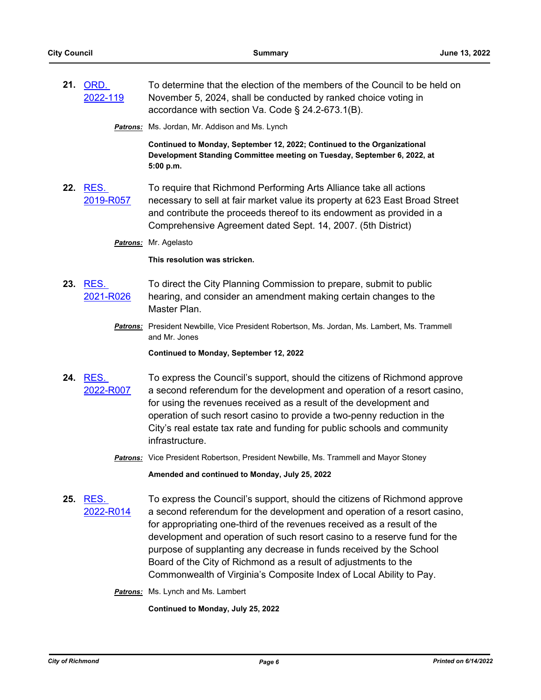| 21. ORD. | To determine that the election of the members of the Council to be held on |
|----------|----------------------------------------------------------------------------|
| 2022-119 | November 5, 2024, shall be conducted by ranked choice voting in            |
|          | accordance with section Va. Code § 24.2-673.1(B).                          |

*Patrons:* Ms. Jordan, Mr. Addison and Ms. Lynch

**Continued to Monday, September 12, 2022; Continued to the Organizational Development Standing Committee meeting on Tuesday, September 6, 2022, at 5:00 p.m.**

**22.** RES. [2019-R057](http://richmondva.legistar.com/gateway.aspx?m=l&id=/matter.aspx?key=26803) To require that Richmond Performing Arts Alliance take all actions necessary to sell at fair market value its property at 623 East Broad Street and contribute the proceeds thereof to its endowment as provided in a Comprehensive Agreement dated Sept. 14, 2007. (5th District)

*Patrons:* Mr. Agelasto

**This resolution was stricken.**

- **23.** RES. [2021-R026](http://richmondva.legistar.com/gateway.aspx?m=l&id=/matter.aspx?key=29432) To direct the City Planning Commission to prepare, submit to public hearing, and consider an amendment making certain changes to the Master Plan.
	- *Patrons:* President Newbille, Vice President Robertson, Ms. Jordan, Ms. Lambert, Ms. Trammell and Mr. Jones

**Continued to Monday, September 12, 2022**

- **24.** RES. [2022-R007](http://richmondva.legistar.com/gateway.aspx?m=l&id=/matter.aspx?key=31084) To express the Council's support, should the citizens of Richmond approve a second referendum for the development and operation of a resort casino, for using the revenues received as a result of the development and operation of such resort casino to provide a two-penny reduction in the City's real estate tax rate and funding for public schools and community infrastructure.
	- *Patrons:* Vice President Robertson, President Newbille, Ms. Trammell and Mayor Stoney

**Amended and continued to Monday, July 25, 2022**

**25.** RES. [2022-R014](http://richmondva.legistar.com/gateway.aspx?m=l&id=/matter.aspx?key=31737) To express the Council's support, should the citizens of Richmond approve a second referendum for the development and operation of a resort casino, for appropriating one-third of the revenues received as a result of the development and operation of such resort casino to a reserve fund for the purpose of supplanting any decrease in funds received by the School Board of the City of Richmond as a result of adjustments to the Commonwealth of Virginia's Composite Index of Local Ability to Pay.

*Patrons:* Ms. Lynch and Ms. Lambert

**Continued to Monday, July 25, 2022**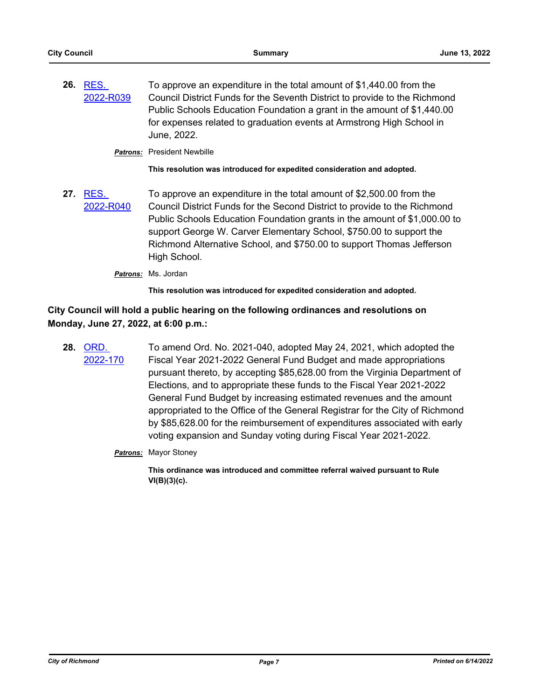**26.** RES. [2022-R039](http://richmondva.legistar.com/gateway.aspx?m=l&id=/matter.aspx?key=32307) To approve an expenditure in the total amount of \$1,440.00 from the Council District Funds for the Seventh District to provide to the Richmond Public Schools Education Foundation a grant in the amount of \$1,440.00 for expenses related to graduation events at Armstrong High School in June, 2022.

*Patrons:* President Newbille

**This resolution was introduced for expedited consideration and adopted.**

**27.** RES. [2022-R040](http://richmondva.legistar.com/gateway.aspx?m=l&id=/matter.aspx?key=32308) To approve an expenditure in the total amount of \$2,500.00 from the Council District Funds for the Second District to provide to the Richmond Public Schools Education Foundation grants in the amount of \$1,000.00 to support George W. Carver Elementary School, \$750.00 to support the Richmond Alternative School, and \$750.00 to support Thomas Jefferson High School.

*Patrons:* Ms. Jordan

**This resolution was introduced for expedited consideration and adopted.**

## **City Council will hold a public hearing on the following ordinances and resolutions on Monday, June 27, 2022, at 6:00 p.m.:**

- **28.** ORD. [2022-170](http://richmondva.legistar.com/gateway.aspx?m=l&id=/matter.aspx?key=32309) To amend Ord. No. 2021-040, adopted May 24, 2021, which adopted the Fiscal Year 2021-2022 General Fund Budget and made appropriations pursuant thereto, by accepting \$85,628.00 from the Virginia Department of Elections, and to appropriate these funds to the Fiscal Year 2021-2022 General Fund Budget by increasing estimated revenues and the amount appropriated to the Office of the General Registrar for the City of Richmond by \$85,628.00 for the reimbursement of expenditures associated with early voting expansion and Sunday voting during Fiscal Year 2021-2022.
	- *Patrons:* Mayor Stoney

**This ordinance was introduced and committee referral waived pursuant to Rule VI(B)(3)(c).**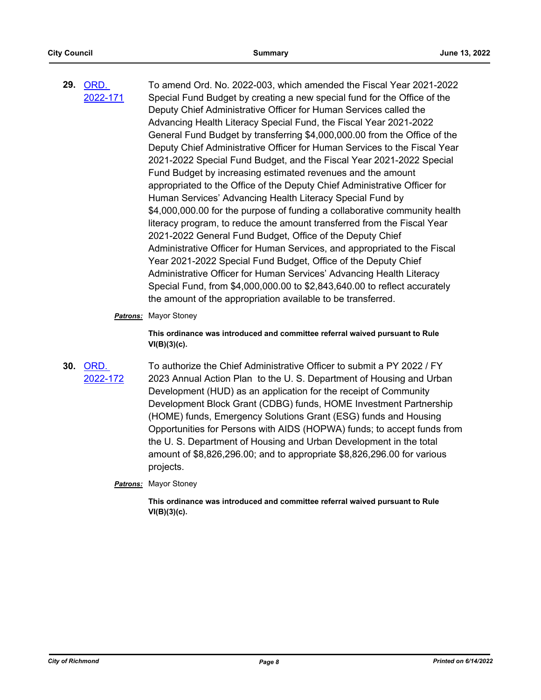**29.** ORD. [2022-171](http://richmondva.legistar.com/gateway.aspx?m=l&id=/matter.aspx?key=32310) To amend Ord. No. 2022-003, which amended the Fiscal Year 2021-2022 Special Fund Budget by creating a new special fund for the Office of the Deputy Chief Administrative Officer for Human Services called the Advancing Health Literacy Special Fund, the Fiscal Year 2021-2022 General Fund Budget by transferring \$4,000,000.00 from the Office of the Deputy Chief Administrative Officer for Human Services to the Fiscal Year 2021-2022 Special Fund Budget, and the Fiscal Year 2021-2022 Special Fund Budget by increasing estimated revenues and the amount appropriated to the Office of the Deputy Chief Administrative Officer for Human Services' Advancing Health Literacy Special Fund by \$4,000,000.00 for the purpose of funding a collaborative community health literacy program, to reduce the amount transferred from the Fiscal Year 2021-2022 General Fund Budget, Office of the Deputy Chief Administrative Officer for Human Services, and appropriated to the Fiscal Year 2021-2022 Special Fund Budget, Office of the Deputy Chief Administrative Officer for Human Services' Advancing Health Literacy Special Fund, from \$4,000,000.00 to \$2,843,640.00 to reflect accurately the amount of the appropriation available to be transferred.

#### *Patrons:* Mayor Stoney

**This ordinance was introduced and committee referral waived pursuant to Rule VI(B)(3)(c).**

## **30.** ORD. [2022-172](http://richmondva.legistar.com/gateway.aspx?m=l&id=/matter.aspx?key=32311)

To authorize the Chief Administrative Officer to submit a PY 2022 / FY 2023 Annual Action Plan to the U. S. Department of Housing and Urban Development (HUD) as an application for the receipt of Community Development Block Grant (CDBG) funds, HOME Investment Partnership (HOME) funds, Emergency Solutions Grant (ESG) funds and Housing Opportunities for Persons with AIDS (HOPWA) funds; to accept funds from the U. S. Department of Housing and Urban Development in the total amount of \$8,826,296.00; and to appropriate \$8,826,296.00 for various projects.

*Patrons:* Mayor Stoney

**This ordinance was introduced and committee referral waived pursuant to Rule VI(B)(3)(c).**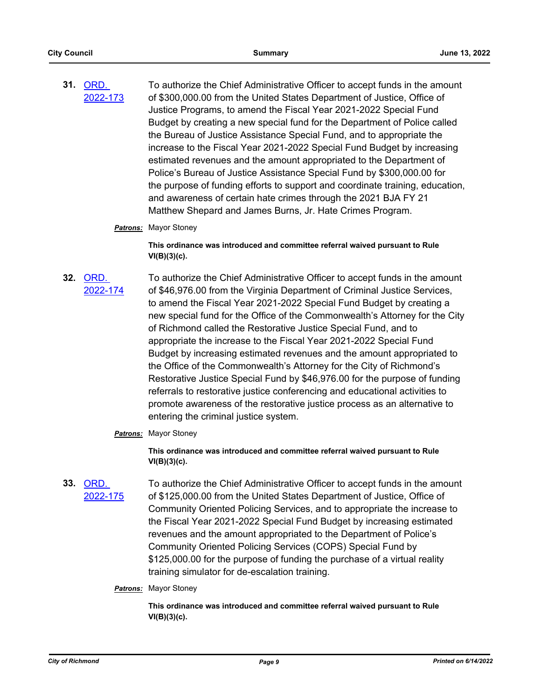**31.** ORD. [2022-173](http://richmondva.legistar.com/gateway.aspx?m=l&id=/matter.aspx?key=32312) To authorize the Chief Administrative Officer to accept funds in the amount of \$300,000.00 from the United States Department of Justice, Office of Justice Programs, to amend the Fiscal Year 2021-2022 Special Fund Budget by creating a new special fund for the Department of Police called the Bureau of Justice Assistance Special Fund, and to appropriate the increase to the Fiscal Year 2021-2022 Special Fund Budget by increasing estimated revenues and the amount appropriated to the Department of Police's Bureau of Justice Assistance Special Fund by \$300,000.00 for the purpose of funding efforts to support and coordinate training, education, and awareness of certain hate crimes through the 2021 BJA FY 21 Matthew Shepard and James Burns, Jr. Hate Crimes Program.

#### *Patrons:* Mayor Stoney

**This ordinance was introduced and committee referral waived pursuant to Rule VI(B)(3)(c).**

- **32.** ORD. [2022-174](http://richmondva.legistar.com/gateway.aspx?m=l&id=/matter.aspx?key=32314) To authorize the Chief Administrative Officer to accept funds in the amount of \$46,976.00 from the Virginia Department of Criminal Justice Services, to amend the Fiscal Year 2021-2022 Special Fund Budget by creating a new special fund for the Office of the Commonwealth's Attorney for the City of Richmond called the Restorative Justice Special Fund, and to appropriate the increase to the Fiscal Year 2021-2022 Special Fund Budget by increasing estimated revenues and the amount appropriated to the Office of the Commonwealth's Attorney for the City of Richmond's Restorative Justice Special Fund by \$46,976.00 for the purpose of funding referrals to restorative justice conferencing and educational activities to promote awareness of the restorative justice process as an alternative to entering the criminal justice system.
	- *Patrons:* Mayor Stoney

**This ordinance was introduced and committee referral waived pursuant to Rule VI(B)(3)(c).**

**33.** ORD. [2022-175](http://richmondva.legistar.com/gateway.aspx?m=l&id=/matter.aspx?key=32315) To authorize the Chief Administrative Officer to accept funds in the amount of \$125,000.00 from the United States Department of Justice, Office of Community Oriented Policing Services, and to appropriate the increase to the Fiscal Year 2021-2022 Special Fund Budget by increasing estimated revenues and the amount appropriated to the Department of Police's Community Oriented Policing Services (COPS) Special Fund by \$125,000.00 for the purpose of funding the purchase of a virtual reality training simulator for de-escalation training.

### *Patrons:* Mayor Stoney

**This ordinance was introduced and committee referral waived pursuant to Rule VI(B)(3)(c).**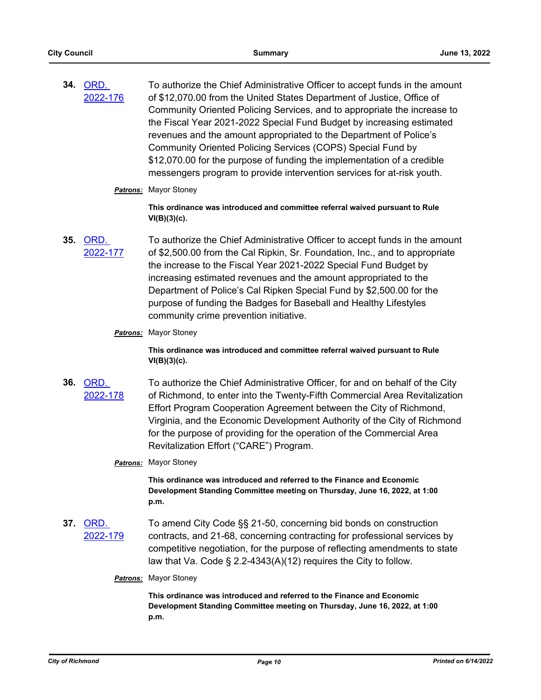**34.** ORD. [2022-176](http://richmondva.legistar.com/gateway.aspx?m=l&id=/matter.aspx?key=32316) To authorize the Chief Administrative Officer to accept funds in the amount of \$12,070.00 from the United States Department of Justice, Office of Community Oriented Policing Services, and to appropriate the increase to the Fiscal Year 2021-2022 Special Fund Budget by increasing estimated revenues and the amount appropriated to the Department of Police's Community Oriented Policing Services (COPS) Special Fund by \$12,070.00 for the purpose of funding the implementation of a credible messengers program to provide intervention services for at-risk youth.

#### *Patrons:* Mayor Stoney

**This ordinance was introduced and committee referral waived pursuant to Rule VI(B)(3)(c).**

**35.** ORD. [2022-177](http://richmondva.legistar.com/gateway.aspx?m=l&id=/matter.aspx?key=32317) To authorize the Chief Administrative Officer to accept funds in the amount of \$2,500.00 from the Cal Ripkin, Sr. Foundation, Inc., and to appropriate the increase to the Fiscal Year 2021-2022 Special Fund Budget by increasing estimated revenues and the amount appropriated to the Department of Police's Cal Ripken Special Fund by \$2,500.00 for the purpose of funding the Badges for Baseball and Healthy Lifestyles community crime prevention initiative.

### *Patrons:* Mayor Stoney

**This ordinance was introduced and committee referral waived pursuant to Rule VI(B)(3)(c).**

**36.** ORD. [2022-178](http://richmondva.legistar.com/gateway.aspx?m=l&id=/matter.aspx?key=32318) To authorize the Chief Administrative Officer, for and on behalf of the City of Richmond, to enter into the Twenty-Fifth Commercial Area Revitalization Effort Program Cooperation Agreement between the City of Richmond, Virginia, and the Economic Development Authority of the City of Richmond for the purpose of providing for the operation of the Commercial Area Revitalization Effort ("CARE") Program.

### *Patrons:* Mayor Stoney

**This ordinance was introduced and referred to the Finance and Economic Development Standing Committee meeting on Thursday, June 16, 2022, at 1:00 p.m.**

- **37.** ORD. [2022-179](http://richmondva.legistar.com/gateway.aspx?m=l&id=/matter.aspx?key=32319) To amend City Code §§ 21-50, concerning bid bonds on construction contracts, and 21-68, concerning contracting for professional services by competitive negotiation, for the purpose of reflecting amendments to state law that Va. Code § 2.2-4343(A)(12) requires the City to follow.
	- *Patrons:* Mayor Stoney

**This ordinance was introduced and referred to the Finance and Economic Development Standing Committee meeting on Thursday, June 16, 2022, at 1:00 p.m.**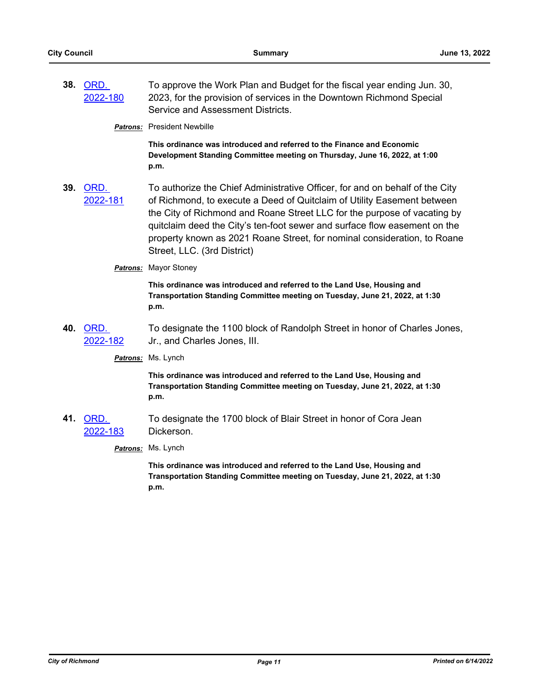**38.** ORD. [2022-180](http://richmondva.legistar.com/gateway.aspx?m=l&id=/matter.aspx?key=32320) To approve the Work Plan and Budget for the fiscal year ending Jun. 30, 2023, for the provision of services in the Downtown Richmond Special Service and Assessment Districts.

*Patrons:* President Newbille

**This ordinance was introduced and referred to the Finance and Economic Development Standing Committee meeting on Thursday, June 16, 2022, at 1:00 p.m.**

- **39.** ORD. [2022-181](http://richmondva.legistar.com/gateway.aspx?m=l&id=/matter.aspx?key=32321) To authorize the Chief Administrative Officer, for and on behalf of the City of Richmond, to execute a Deed of Quitclaim of Utility Easement between the City of Richmond and Roane Street LLC for the purpose of vacating by quitclaim deed the City's ten-foot sewer and surface flow easement on the property known as 2021 Roane Street, for nominal consideration, to Roane Street, LLC. (3rd District)
	- *Patrons:* Mayor Stoney

**This ordinance was introduced and referred to the Land Use, Housing and Transportation Standing Committee meeting on Tuesday, June 21, 2022, at 1:30 p.m.**

**40.** ORD. [2022-182](http://richmondva.legistar.com/gateway.aspx?m=l&id=/matter.aspx?key=32322) To designate the 1100 block of Randolph Street in honor of Charles Jones, Jr., and Charles Jones, III.

*Patrons:* Ms. Lynch

**This ordinance was introduced and referred to the Land Use, Housing and Transportation Standing Committee meeting on Tuesday, June 21, 2022, at 1:30 p.m.**

**41.** ORD. [2022-183](http://richmondva.legistar.com/gateway.aspx?m=l&id=/matter.aspx?key=32323) To designate the 1700 block of Blair Street in honor of Cora Jean Dickerson.

*Patrons:* Ms. Lynch

**This ordinance was introduced and referred to the Land Use, Housing and Transportation Standing Committee meeting on Tuesday, June 21, 2022, at 1:30 p.m.**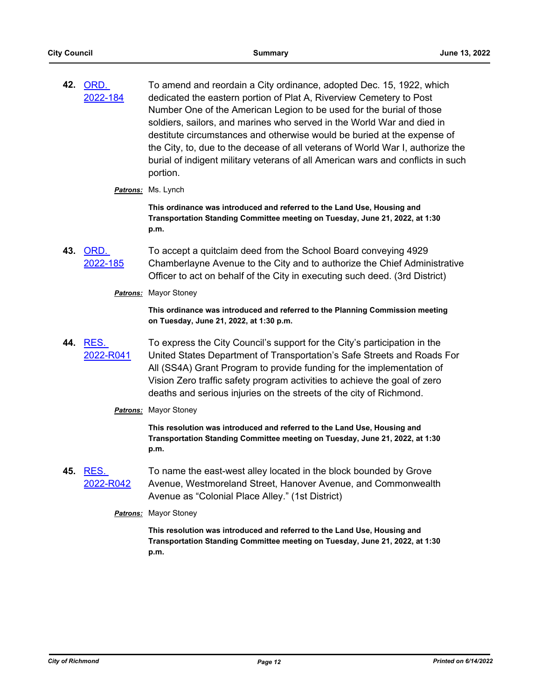- **42.** ORD. [2022-184](http://richmondva.legistar.com/gateway.aspx?m=l&id=/matter.aspx?key=32324) To amend and reordain a City ordinance, adopted Dec. 15, 1922, which dedicated the eastern portion of Plat A, Riverview Cemetery to Post Number One of the American Legion to be used for the burial of those soldiers, sailors, and marines who served in the World War and died in destitute circumstances and otherwise would be buried at the expense of the City, to, due to the decease of all veterans of World War I, authorize the burial of indigent military veterans of all American wars and conflicts in such portion.
	- *Patrons:* Ms. Lynch

**This ordinance was introduced and referred to the Land Use, Housing and Transportation Standing Committee meeting on Tuesday, June 21, 2022, at 1:30 p.m.**

- **43.** ORD. [2022-185](http://richmondva.legistar.com/gateway.aspx?m=l&id=/matter.aspx?key=32325) To accept a quitclaim deed from the School Board conveying 4929 Chamberlayne Avenue to the City and to authorize the Chief Administrative Officer to act on behalf of the City in executing such deed. (3rd District)
	- *Patrons:* Mayor Stoney

**This ordinance was introduced and referred to the Planning Commission meeting on Tuesday, June 21, 2022, at 1:30 p.m.**

- **44.** RES. [2022-R041](http://richmondva.legistar.com/gateway.aspx?m=l&id=/matter.aspx?key=32334) To express the City Council's support for the City's participation in the United States Department of Transportation's Safe Streets and Roads For All (SS4A) Grant Program to provide funding for the implementation of Vision Zero traffic safety program activities to achieve the goal of zero deaths and serious injuries on the streets of the city of Richmond.
	- *Patrons:* Mayor Stoney

**This resolution was introduced and referred to the Land Use, Housing and Transportation Standing Committee meeting on Tuesday, June 21, 2022, at 1:30 p.m.**

**45.** RES. [2022-R042](http://richmondva.legistar.com/gateway.aspx?m=l&id=/matter.aspx?key=32335) To name the east-west alley located in the block bounded by Grove Avenue, Westmoreland Street, Hanover Avenue, and Commonwealth Avenue as "Colonial Place Alley." (1st District)

*Patrons:* Mayor Stoney

**This resolution was introduced and referred to the Land Use, Housing and Transportation Standing Committee meeting on Tuesday, June 21, 2022, at 1:30 p.m.**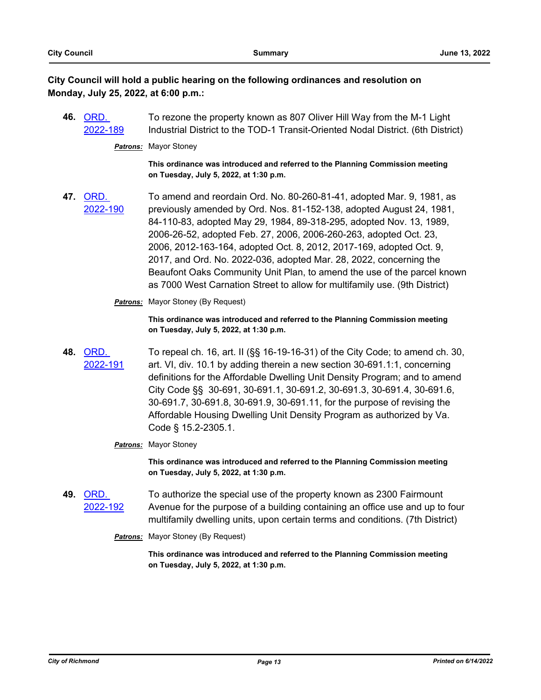## **City Council will hold a public hearing on the following ordinances and resolution on Monday, July 25, 2022, at 6:00 p.m.:**

**46.** ORD. [2022-189](http://richmondva.legistar.com/gateway.aspx?m=l&id=/matter.aspx?key=32079) To rezone the property known as 807 Oliver Hill Way from the M-1 Light Industrial District to the TOD-1 Transit-Oriented Nodal District. (6th District)

*Patrons:* Mayor Stoney

**This ordinance was introduced and referred to the Planning Commission meeting on Tuesday, July 5, 2022, at 1:30 p.m.**

**47.** ORD. [2022-190](http://richmondva.legistar.com/gateway.aspx?m=l&id=/matter.aspx?key=32076) To amend and reordain Ord. No. 80-260-81-41, adopted Mar. 9, 1981, as previously amended by Ord. Nos. 81-152-138, adopted August 24, 1981, 84-110-83, adopted May 29, 1984, 89-318-295, adopted Nov. 13, 1989, 2006-26-52, adopted Feb. 27, 2006, 2006-260-263, adopted Oct. 23, 2006, 2012-163-164, adopted Oct. 8, 2012, 2017-169, adopted Oct. 9, 2017, and Ord. No. 2022-036, adopted Mar. 28, 2022, concerning the Beaufont Oaks Community Unit Plan, to amend the use of the parcel known as 7000 West Carnation Street to allow for multifamily use. (9th District)

**Patrons:** Mayor Stoney (By Request)

**This ordinance was introduced and referred to the Planning Commission meeting on Tuesday, July 5, 2022, at 1:30 p.m.**

**48.** ORD. [2022-191](http://richmondva.legistar.com/gateway.aspx?m=l&id=/matter.aspx?key=32326) To repeal ch. 16, art. II (§§ 16-19-16-31) of the City Code; to amend ch. 30, art. VI, div. 10.1 by adding therein a new section 30-691.1:1, concerning definitions for the Affordable Dwelling Unit Density Program; and to amend City Code §§ 30-691, 30-691.1, 30-691.2, 30-691.3, 30-691.4, 30-691.6, 30-691.7, 30-691.8, 30-691.9, 30-691.11, for the purpose of revising the Affordable Housing Dwelling Unit Density Program as authorized by Va. Code § 15.2-2305.1.

### *Patrons:* Mayor Stoney

**This ordinance was introduced and referred to the Planning Commission meeting on Tuesday, July 5, 2022, at 1:30 p.m.**

- **49.** ORD. [2022-192](http://richmondva.legistar.com/gateway.aspx?m=l&id=/matter.aspx?key=30566) To authorize the special use of the property known as 2300 Fairmount Avenue for the purpose of a building containing an office use and up to four multifamily dwelling units, upon certain terms and conditions. (7th District)
	- **Patrons:** Mayor Stoney (By Request)

**This ordinance was introduced and referred to the Planning Commission meeting on Tuesday, July 5, 2022, at 1:30 p.m.**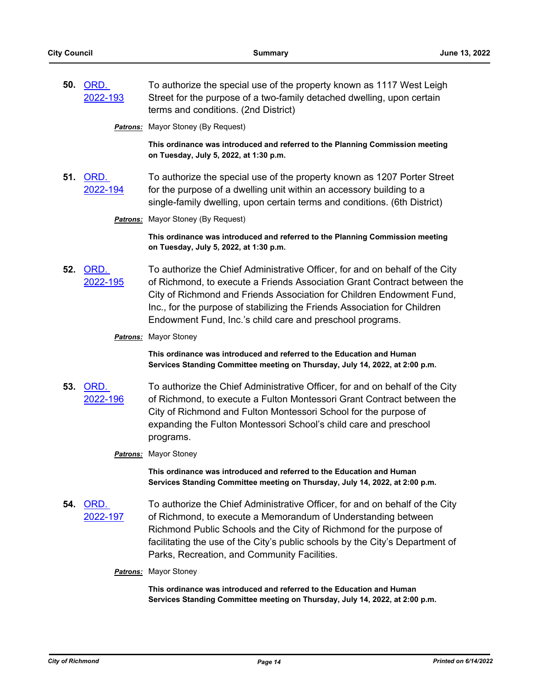**50.** ORD. [2022-193](http://richmondva.legistar.com/gateway.aspx?m=l&id=/matter.aspx?key=32071) To authorize the special use of the property known as 1117 West Leigh Street for the purpose of a two-family detached dwelling, upon certain terms and conditions. (2nd District)

**Patrons:** Mayor Stoney (By Request)

**This ordinance was introduced and referred to the Planning Commission meeting on Tuesday, July 5, 2022, at 1:30 p.m.**

**51.** ORD. [2022-194](http://richmondva.legistar.com/gateway.aspx?m=l&id=/matter.aspx?key=32080) To authorize the special use of the property known as 1207 Porter Street for the purpose of a dwelling unit within an accessory building to a single-family dwelling, upon certain terms and conditions. (6th District)

**Patrons:** Mayor Stoney (By Request)

**This ordinance was introduced and referred to the Planning Commission meeting on Tuesday, July 5, 2022, at 1:30 p.m.**

**52.** ORD. [2022-195](http://richmondva.legistar.com/gateway.aspx?m=l&id=/matter.aspx?key=32327) To authorize the Chief Administrative Officer, for and on behalf of the City of Richmond, to execute a Friends Association Grant Contract between the City of Richmond and Friends Association for Children Endowment Fund, Inc., for the purpose of stabilizing the Friends Association for Children Endowment Fund, Inc.'s child care and preschool programs.

#### *Patrons:* Mayor Stoney

**This ordinance was introduced and referred to the Education and Human Services Standing Committee meeting on Thursday, July 14, 2022, at 2:00 p.m.**

**53.** ORD. [2022-196](http://richmondva.legistar.com/gateway.aspx?m=l&id=/matter.aspx?key=32328) To authorize the Chief Administrative Officer, for and on behalf of the City of Richmond, to execute a Fulton Montessori Grant Contract between the City of Richmond and Fulton Montessori School for the purpose of expanding the Fulton Montessori School's child care and preschool programs.

### *Patrons:* Mayor Stoney

**This ordinance was introduced and referred to the Education and Human Services Standing Committee meeting on Thursday, July 14, 2022, at 2:00 p.m.**

- **54.** ORD. [2022-197](http://richmondva.legistar.com/gateway.aspx?m=l&id=/matter.aspx?key=32329) To authorize the Chief Administrative Officer, for and on behalf of the City of Richmond, to execute a Memorandum of Understanding between Richmond Public Schools and the City of Richmond for the purpose of facilitating the use of the City's public schools by the City's Department of Parks, Recreation, and Community Facilities.
	- *Patrons:* Mayor Stoney

**This ordinance was introduced and referred to the Education and Human Services Standing Committee meeting on Thursday, July 14, 2022, at 2:00 p.m.**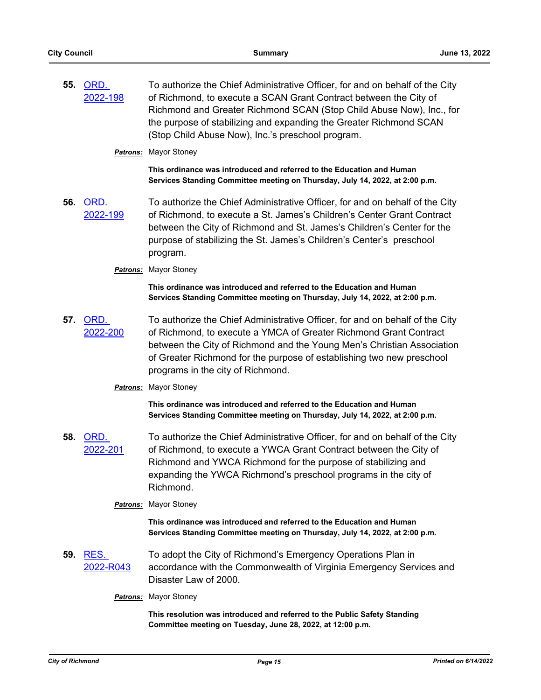**55.** ORD. [2022-198](http://richmondva.legistar.com/gateway.aspx?m=l&id=/matter.aspx?key=32330) To authorize the Chief Administrative Officer, for and on behalf of the City of Richmond, to execute a SCAN Grant Contract between the City of Richmond and Greater Richmond SCAN (Stop Child Abuse Now), Inc., for the purpose of stabilizing and expanding the Greater Richmond SCAN (Stop Child Abuse Now), Inc.'s preschool program.

#### *Patrons:* Mayor Stoney

**This ordinance was introduced and referred to the Education and Human Services Standing Committee meeting on Thursday, July 14, 2022, at 2:00 p.m.**

**56.** ORD. [2022-199](http://richmondva.legistar.com/gateway.aspx?m=l&id=/matter.aspx?key=32331) To authorize the Chief Administrative Officer, for and on behalf of the City of Richmond, to execute a St. James's Children's Center Grant Contract between the City of Richmond and St. James's Children's Center for the purpose of stabilizing the St. James's Children's Center's preschool program.

#### *Patrons:* Mayor Stoney

**This ordinance was introduced and referred to the Education and Human Services Standing Committee meeting on Thursday, July 14, 2022, at 2:00 p.m.**

**57.** ORD. [2022-200](http://richmondva.legistar.com/gateway.aspx?m=l&id=/matter.aspx?key=32332) To authorize the Chief Administrative Officer, for and on behalf of the City of Richmond, to execute a YMCA of Greater Richmond Grant Contract between the City of Richmond and the Young Men's Christian Association of Greater Richmond for the purpose of establishing two new preschool programs in the city of Richmond.

### *Patrons:* Mayor Stoney

**This ordinance was introduced and referred to the Education and Human Services Standing Committee meeting on Thursday, July 14, 2022, at 2:00 p.m.**

**58.** ORD. [2022-201](http://richmondva.legistar.com/gateway.aspx?m=l&id=/matter.aspx?key=32333) To authorize the Chief Administrative Officer, for and on behalf of the City of Richmond, to execute a YWCA Grant Contract between the City of Richmond and YWCA Richmond for the purpose of stabilizing and expanding the YWCA Richmond's preschool programs in the city of Richmond.

### *Patrons:* Mayor Stoney

**This ordinance was introduced and referred to the Education and Human Services Standing Committee meeting on Thursday, July 14, 2022, at 2:00 p.m.**

**59.** RES. [2022-R043](http://richmondva.legistar.com/gateway.aspx?m=l&id=/matter.aspx?key=32336) To adopt the City of Richmond's Emergency Operations Plan in accordance with the Commonwealth of Virginia Emergency Services and Disaster Law of 2000.

#### *Patrons:* Mayor Stoney

**This resolution was introduced and referred to the Public Safety Standing Committee meeting on Tuesday, June 28, 2022, at 12:00 p.m.**